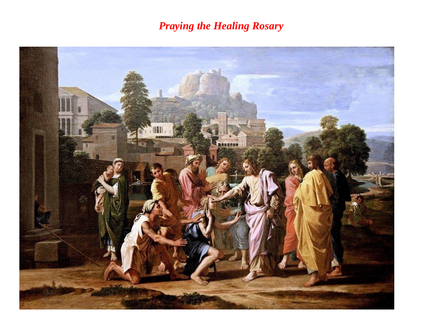# *Praying the Healing Rosary*

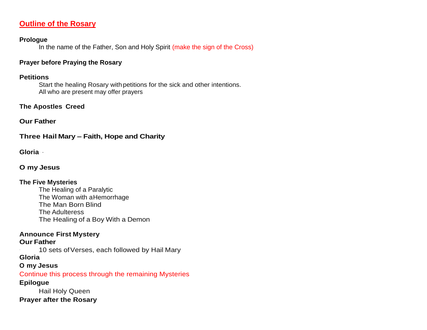# **Outline of the Rosary**

#### **Prologue**

In the name of the Father, Son and Holy Spirit (make the sign of the Cross)

# **Prayer before Praying the Rosary**

# **Petitions**

Start the healing Rosary with petitions for the sick and other intentions. All who are present may offer prayers

# **The Apostles Creed**

**Our Father**

**Three Hail Mary – Faith, Hope and Charity**

**Gloria** ·

# **O my Jesus**

# **The Five Mysteries**

The Healing of a Paralytic The Woman with aHemorrhage The Man Born Blind The Adulteress The Healing of a Boy With a Demon

# **Announce First Mystery**

# **Our Father**

10 sets of Verses, each followed by Hail Mary

# **Gloria**

# **O my Jesus**

Continue this process through the remaining Mysteries

# **Epilogue**

Hail Holy Queen **Prayer after the Rosary**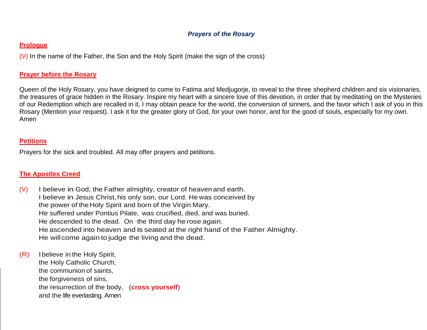# *Prayers of the Rosary*

#### **Prologue**

(V) In the name of the Father, the Son and the Holy Spirit (make the sign of the cross)

# **Prayer before the Rosary**

Queen of the Holy Rosary, you have deigned to come to Fatima and Medjugorje, to reveal to the three shepherd children and six visionaries, the treasures of grace hidden in the Rosary. Inspire my heart with a sincere love of this devotion, in order that by meditating on the Mysteries of our Redemption which are recalled in it, I may obtain peace for the world, the conversion of sinners, and the favor which I ask of you in this Rosary (Mention your request). I ask it for the greater glory of God, for your own honor, and for the good of souls, especially for my own. Amen

# **Petitions**

Prayers for the sick and troubled. All may offer prayers and petitions.

# **The Apostles Creed**

- (V) I believe in God; the Father almighty, creator of heaven and earth. I believe in Jesus Christ, his only son, our Lord. He was conceived by the power of the Holy Spirit and born of the Virgin Mary. He suffered under Pontius Pilate, was crucified, died, and was buried. He descended to the dead. On ·the third day he rose again. He ascended into heaven and is seated at the right hand of the Father Almighty. He willcome again to judge the living and the dead.
- (R) Ibelieve in the Holy Spirit, the Holy Catholic Church, the communion of saints, the forgiveness of sins, the resurrection of the body, (**cross yourself**) and the life everlasting. Amen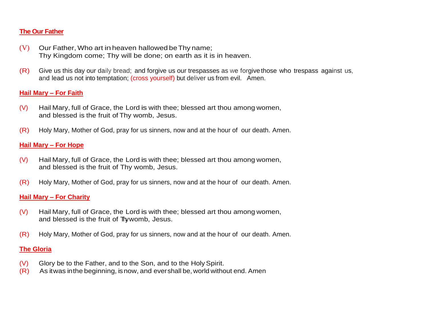# **The Our Father**

- $(V)$  Our Father, Who art in heaven hallowed be Thy name; Thy Kingdom come; Thy will be done; on earth as it is in heaven.
- (R) Give us this day our daily bread; and forgive us our trespasses as we forgive those who trespass against us, and lead us not into temptation; (cross yourself) but deliver us from evil. Amen.

# **Hail Mary – For Faith**

- (V) Hail Mary, full of Grace, the Lord is with thee; blessed art thou among women, and blessed is the fruit of Thy womb, Jesus.
- (R) Holy Mary, Mother of God, pray for us sinners, now and at the hour of our death. Amen.

# **Hail Mary – For Hope**

- (V) Hail Mary, full of Grace, the Lord is with thee; blessed art thou among women, and blessed is the fruit of Thy womb, Jesus.
- (R) Holy Mary, Mother of God, pray for us sinners, now and at the hour of our death. Amen.

# **Hail Mary – For Charity**

- (V) Hail Mary, full of Grace, the Lord is with thee; blessed art thou among women, and blessed is the fruit of Thywomb, Jesus.
- (R) Holy Mary, Mother of God, pray for us sinners, now and at the hour of our death. Amen.

- (V) Glory be to the Father, and to the Son, and to the Holy Spirit.
- (R) As itwas inthe beginning, isnow, and evershall be, world without end. Amen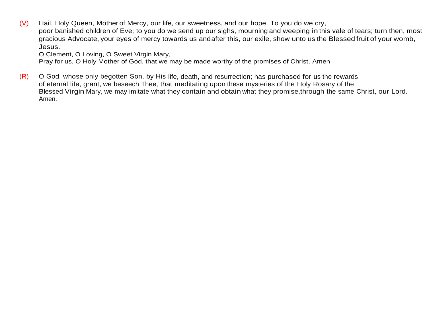(V) Hail, Holy Queen, Mother of Mercy, our life, our sweetness, and our hope. To you do we cry, poor banished children of Eve; to you do we send up our sighs, mourning and weeping inthis vale of tears; turn then, most gracious Advocate, your eyes of mercy towards us andafter this, our exile, show unto us the Blessed fruit of your womb, Jesus.

O Clement, O Loving, O Sweet Virgin Mary,

Pray for us, O Holy Mother of God, that we may be made worthy of the promises of Christ. Amen

(R) O God, whose only begotten Son, by His life, death, and resurrection; has purchased for us the rewards of eternal life, grant, we beseech Thee, that meditating upon these mysteries of the Holy Rosary of the Blessed Virgin Mary, we may imitate what they contain and obtain what they promise,through the same Christ, our Lord. Amen.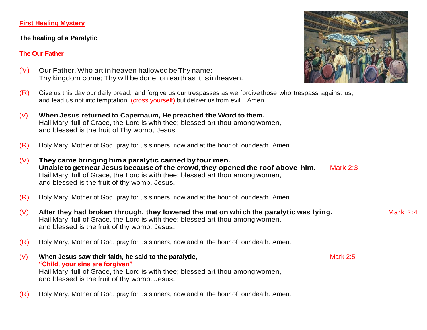#### **First Healing Mystery**

#### **The healing of a Paralytic**

# **The Our Father**

- (V) Our Father, Who art inheaven hallowed beThy name; Thy kingdom come; Thy will be done; on earth as it isinheaven.
- (R) Give us this day our daily bread; and forgive us our trespasses as we forgive those who trespass against us, and lead us not into temptation; (cross yourself) but deliver us from evil. Amen.
- (V) **When Jesus returned to Capernaum, He preached the Word to them.** Hail Mary, full of Grace, the Lord is with thee; blessed art thou among women, and blessed is the fruit of Thy womb, Jesus.
- (R) Holy Mary, Mother of God, pray for us sinners, now and at the hour of our death. Amen.
- (V) **They came bringinghima paralytic carried by four men. UnabletogetnearJesus because of the crowd,they opened the roof above him.** Mark 2:3 Hail Mary, full of Grace, the Lord is with thee; blessed art thou among women, and blessed is the fruit of thy womb, Jesus.
- (R) Holy Mary, Mother of God, pray for us sinners, now and at the hour of our death. Amen.
- (V) **After they had broken through, they lowered the mat on which the paralytic was lying.** Mark 2:4 Hail Mary, full of Grace, the Lord is with thee; blessed art thou among women, and blessed is the fruit of thy womb, Jesus.
- (R) Holy Mary, Mother of God, pray for us sinners, now and at the hour of our death. Amen.
- (V) When Jesus saw their faith, he said to the paralytic, **Mark 2:5** Mark 2:5 **"Child, your sins are forgiven"** Hail Mary, full of Grace, the Lord is with thee; blessed art thou among women, and blessed is the fruit of thy womb, Jesus.
- (R) Holy Mary, Mother of God, pray for us sinners, now and at the hour of our death. Amen.

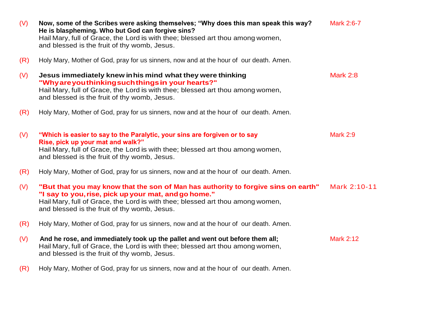| (V) | Now, some of the Scribes were asking themselves; "Why does this man speak this way?<br>He is blaspheming. Who but God can forgive sins?<br>Hail Mary, full of Grace, the Lord is with thee; blessed art thou among women,<br>and blessed is the fruit of thy womb, Jesus.    | Mark 2:6-7       |
|-----|------------------------------------------------------------------------------------------------------------------------------------------------------------------------------------------------------------------------------------------------------------------------------|------------------|
| (R) | Holy Mary, Mother of God, pray for us sinners, now and at the hour of our death. Amen.                                                                                                                                                                                       |                  |
| (V) | Jesus immediately knew in his mind what they were thinking<br>"Why are you thinking such things in your hearts?"<br>Hail Mary, full of Grace, the Lord is with thee; blessed art thou among women,<br>and blessed is the fruit of thy womb, Jesus.                           | <b>Mark 2:8</b>  |
| (R) | Holy Mary, Mother of God, pray for us sinners, now and at the hour of our death. Amen.                                                                                                                                                                                       |                  |
| (V) | "Which is easier to say to the Paralytic, your sins are forgiven or to say<br>Rise, pick up your mat and walk?"<br>Hail Mary, full of Grace, the Lord is with thee; blessed art thou among women,<br>and blessed is the fruit of thy womb, Jesus.                            | <b>Mark 2:9</b>  |
| (R) | Holy Mary, Mother of God, pray for us sinners, now and at the hour of our death. Amen.                                                                                                                                                                                       |                  |
| (V) | "But that you may know that the son of Man has authority to forgive sins on earth"<br>"I say to you, rise, pick up your mat, and go home."<br>Hail Mary, full of Grace, the Lord is with thee; blessed art thou among women,<br>and blessed is the fruit of thy womb, Jesus. | Mark 2:10-11     |
| (R) | Holy Mary, Mother of God, pray for us sinners, now and at the hour of our death. Amen.                                                                                                                                                                                       |                  |
| (V) | And he rose, and immediately took up the pallet and went out before them all;<br>Hail Mary, full of Grace, the Lord is with thee; blessed art thou among women,<br>and blessed is the fruit of thy womb, Jesus.                                                              | <b>Mark 2:12</b> |
| (R) | Holy Mary, Mother of God, pray for us sinners, now and at the hour of our death. Amen.                                                                                                                                                                                       |                  |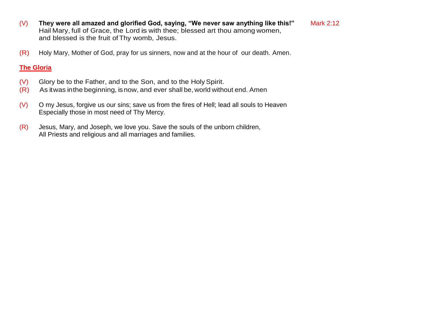- (V) **They were all amazed and glorified God, saying, "We never saw anything like this!"** Mark 2:12 Hail Mary, full of Grace, the Lord is with thee; blessed art thou among women, and blessed is the fruit ofThy womb, Jesus.
- (R) Holy Mary, Mother of God, pray for us sinners, now and at the hour of our death. Amen.

- (V) Glory be to the Father, and to the Son, and to the HolySpirit.
- (R) As itwas inthe beginning, isnow, and ever shall be, world without end. Amen
- $(V)$  O my Jesus, forgive us our sins; save us from the fires of Hell; lead all souls to Heaven Especially those in most need of Thy Mercy.
- (R) Jesus, Mary, and Joseph, we love you. Save the souls of the unborn children, All Priests and religious and all marriages and families.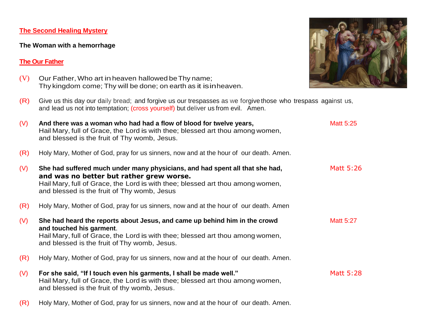#### **The Second Healing Mystery**

#### **The Woman with a hemorrhage**

# **The Our Father**

- $(V)$  Our Father, Who art in heaven hallowed be Thy name; Thy kingdom come; Thy will be done; on earth as it isinheaven.
- (R) Give us this day our daily bread; and forgive us our trespasses as we forgive those who trespass against us, and lead us not into temptation; (cross yourself) but deliver us from evil. Amen.
- (V) And there was a woman who had had a flow of blood for twelve years, Matt 5:25 Hail Mary, full of Grace, the Lord is with thee; blessed art thou among women, and blessed is the fruit of Thy womb, Jesus. (R) Holy Mary, Mother of God, pray for us sinners, now and at the hour of our death. Amen. (V) **She had suffered much under many physicians, and had spent all that she had,** Matt 5:26 **and was no better but rather grew worse.** Hail Mary, full of Grace, the Lord is with thee; blessed art thou among women, and blessed is the fruit of Thy womb, Jesus (R) Holy Mary, Mother of God, pray for us sinners, now and at the hour of our death. Amen (V) **She had heard the reports about Jesus, and came up behind him in the crowd** Matt 5:27 **and touched his garment**. Hail Mary, full of Grace, the Lord is with thee; blessed art thou among women, and blessed is the fruit of Thy womb, Jesus.
- (R) Holy Mary, Mother of God, pray for us sinners, now and at the hour of our death. Amen.
- (V) For she said, "If I touch even his garments, I shall be made well." Matt 5:28 Hail Mary, full of Grace, the Lord is with thee; blessed art thou among women, and blessed is the fruit of thy womb, Jesus.
- (R) Holy Mary, Mother of God, pray for us sinners, now and at the hour of our death. Amen.

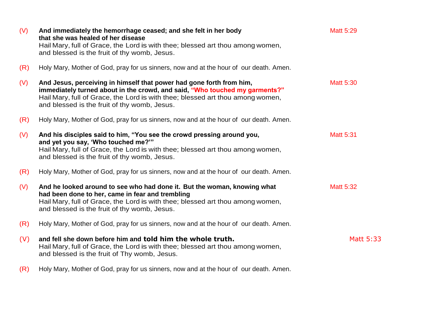| (V) | And immediately the hemorrhage ceased; and she felt in her body<br>that she was healed of her disease                                                                                                                                                                                 | <b>Matt 5:29</b> |
|-----|---------------------------------------------------------------------------------------------------------------------------------------------------------------------------------------------------------------------------------------------------------------------------------------|------------------|
|     | Hail Mary, full of Grace, the Lord is with thee; blessed art thou among women,<br>and blessed is the fruit of thy womb, Jesus.                                                                                                                                                        |                  |
| (R) | Holy Mary, Mother of God, pray for us sinners, now and at the hour of our death. Amen.                                                                                                                                                                                                |                  |
| (V) | And Jesus, perceiving in himself that power had gone forth from him,<br>immediately turned about in the crowd, and said, "Who touched my garments?"<br>Hail Mary, full of Grace, the Lord is with thee; blessed art thou among women,<br>and blessed is the fruit of thy womb, Jesus. | <b>Matt 5:30</b> |
| (R) | Holy Mary, Mother of God, pray for us sinners, now and at the hour of our death. Amen.                                                                                                                                                                                                |                  |
| (V) | And his disciples said to him, "You see the crowd pressing around you,<br>and yet you say, 'Who touched me?""                                                                                                                                                                         | <b>Matt 5:31</b> |
|     | Hail Mary, full of Grace, the Lord is with thee; blessed art thou among women,<br>and blessed is the fruit of thy womb, Jesus.                                                                                                                                                        |                  |
| (R) | Holy Mary, Mother of God, pray for us sinners, now and at the hour of our death. Amen.                                                                                                                                                                                                |                  |
| (V) | And he looked around to see who had done it. But the woman, knowing what<br>had been done to her, came in fear and trembling<br>Hail Mary, full of Grace, the Lord is with thee; blessed art thou among women,<br>and blessed is the fruit of thy womb, Jesus.                        | <b>Matt 5:32</b> |
| (R) | Holy Mary, Mother of God, pray for us sinners, now and at the hour of our death. Amen.                                                                                                                                                                                                |                  |
| (V) | and fell she down before him and told him the whole truth.<br>Hail Mary, full of Grace, the Lord is with thee; blessed art thou among women,<br>and blessed is the fruit of Thy womb, Jesus.                                                                                          | Matt 5:33        |
| (R) | Holy Mary, Mother of God, pray for us sinners, now and at the hour of our death. Amen.                                                                                                                                                                                                |                  |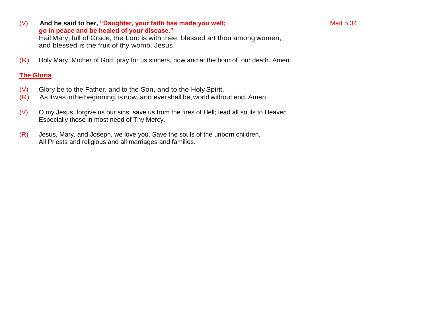(V) And he said to her, "Daughter, your faith has made you well; **And has made you well** and the said to her, "Daughter, your faith has made you well; **Matt 5:34 go in peace and be healed of your disease."** Hail Mary, full of Grace, the Lord is with thee; blessed art thou among women,

and blessed is the fruit of thy womb, Jesus.

(R) Holy Mary, Mother of God, pray for us sinners, now and at the hour of our death. Amen.

- (V) Glory be to the Father, and to the Son, and to the HolySpirit.
- (R) As itwas inthe beginning, isnow, and evershall be, world without end. Amen
- (V) O my Jesus, forgive us our sins; save us from the fires of Hell; lead all souls to Heaven Especially those in most need of Thy Mercy.
- (R) Jesus, Mary, and Joseph, we love you. Save the souls of the unborn children, All Priests and religious and all marriages and families.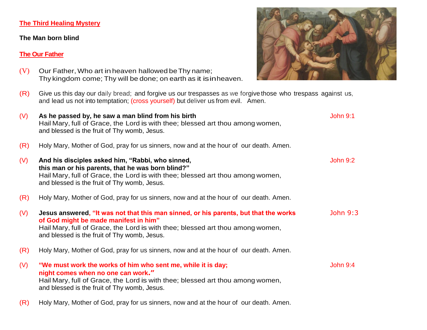#### **The Third Healing Mystery**

#### **The Man born blind**

#### **The Our Father**

- $(V)$  Our Father, Who art in heaven hallowed be Thy name; Thy kingdom come; Thy will be done; on earth as it isinheaven.
- (R) Give us this day our daily bread; and forgive us our trespasses as we forgive those who trespass against us, and lead us not into temptation; (cross yourself) but deliver us from evil. Amen.
- (V) As he passed by, he saw a man blind from his birth  $\frac{1}{2}$  and  $\frac{1}{2}$  and  $\frac{1}{2}$  and  $\frac{1}{2}$  and  $\frac{1}{2}$  and  $\frac{1}{2}$  and  $\frac{1}{2}$  and  $\frac{1}{2}$  and  $\frac{1}{2}$  and  $\frac{1}{2}$  and  $\frac{1}{2}$  and  $\frac{1}{2}$  and Hail Mary, full of Grace, the Lord is with thee; blessed art thou among women, and blessed is the fruit of Thy womb, Jesus. (R) Holy Mary, Mother of God, pray for us sinners, now and at the hour of our death. Amen. (V) **And his disciples asked him, "Rabbi, who sinned,** John 9:2 **this man or his parents, that he was born blind?"** Hail Mary, full of Grace, the Lord is with thee; blessed art thou among women, and blessed is the fruit of Thy womb, Jesus. (R) Holy Mary, Mother of God, pray for us sinners, now and at the hour of our death. Amen. (V) **Jesus answered, "It was not that this man sinned, or his parents, but that the works** John 9:3 **of God might be made manifest in him"** Hail Mary, full of Grace, the Lord is with thee; blessed art thou among women, and blessed is the fruit of Thy womb, Jesus. (R) Holy Mary, Mother of God, pray for us sinners, now and at the hour of our death. Amen. (V) **"We must work the works of him who sent me, while it is day;** Shape Wohn 9:4 **night comes when no one can work."** Hail Mary, full of Grace, the Lord is with thee; blessed art thou among women, and blessed is the fruit of Thy womb, Jesus. (R) Holy Mary, Mother of God, pray for us sinners, now and at the hour of our death. Amen.

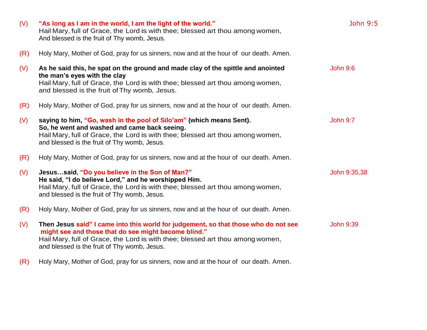| (V) | "As long as I am in the world, I am the light of the world."<br>Hail Mary, full of Grace, the Lord is with thee; blessed art thou among women,<br>And blessed is the fruit of Thy womb, Jesus.                                                                                | John 9:5         |
|-----|-------------------------------------------------------------------------------------------------------------------------------------------------------------------------------------------------------------------------------------------------------------------------------|------------------|
| (R) | Holy Mary, Mother of God, pray for us sinners, now and at the hour of our death. Amen.                                                                                                                                                                                        |                  |
| (V) | As he said this, he spat on the ground and made clay of the spittle and anointed<br>the man's eyes with the clay<br>Hail Mary, full of Grace, the Lord is with thee; blessed art thou among women,<br>and blessed is the fruit of Thy womb, Jesus.                            | <b>John 9:6</b>  |
| (R) | Holy Mary, Mother of God, pray for us sinners, now and at the hour of our death. Amen.                                                                                                                                                                                        |                  |
| (V) | saying to him, "Go, wash in the pool of Silo'am" (which means Sent).<br>So, he went and washed and came back seeing.<br>Hail Mary, full of Grace, the Lord is with thee; blessed art thou among women,<br>and blessed is the fruit of Thy womb, Jesus.                        | <b>John 9:7</b>  |
| (R) | Holy Mary, Mother of God, pray for us sinners, now and at the hour of our death. Amen.                                                                                                                                                                                        |                  |
| (V) | Jesussaid, "Do you believe in the Son of Man?"<br>He said, "I do believe Lord," and he worshipped Him.<br>Hail Mary, full of Grace, the Lord is with thee; blessed art thou among women,<br>and blessed is the fruit of Thy womb, Jesus.                                      | John 9:35,38     |
| (R) | Holy Mary, Mother of God, pray for us sinners, now and at the hour of our death. Amen.                                                                                                                                                                                        |                  |
| (V) | Then Jesus said" I came into this world for judgement, so that those who do not see<br>might see and those that do see might become blind."<br>Hail Mary, full of Grace, the Lord is with thee; blessed art thou among women,<br>and blessed is the fruit of Thy womb, Jesus. | <b>John 9:39</b> |
| (R) | Holy Mary, Mother of God, pray for us sinners, now and at the hour of our death. Amen.                                                                                                                                                                                        |                  |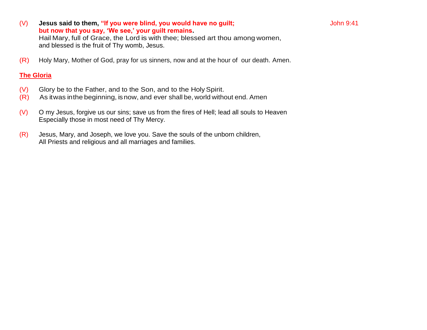- (V) Jesus said to them, "If you were blind, you would have no guilt; John 9:41 **but now that you say, 'We see,' your guilt remains.** Hail Mary, full of Grace, the Lord is with thee; blessed art thou among women, and blessed is the fruit of Thy womb, Jesus.
- (R) Holy Mary, Mother of God, pray for us sinners, now and at the hour of our death. Amen.

- (V) Glory be to the Father, and to the Son, and to the HolySpirit.
- (R) As itwas inthe beginning, isnow, and ever shall be, world without end. Amen
- (V) O my Jesus, forgive us our sins; save us from the fires of Hell; lead all souls to Heaven Especially those in most need of Thy Mercy.
- (R) Jesus, Mary, and Joseph, we love you. Save the souls of the unborn children, All Priests and religious and all marriages and families.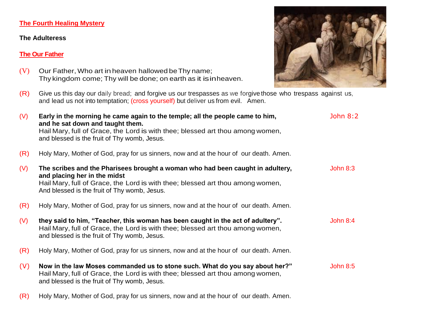# **The Fourth Healing Mystery**

#### **The Adulteress**

#### **The Our Father**

- (V) Our Father, Who art inheaven hallowed beThy name; Thy kingdom come; Thy will be done; on earth as it isinheaven.
- (R) Give us this day our daily bread; and forgive us our trespasses as we forgive those who trespass against us, and lead us not into temptation; (cross yourself) but deliver us from evil. Amen.

| (V) | Early in the morning he came again to the temple; all the people came to him,<br>and he sat down and taught them.<br>Hail Mary, full of Grace, the Lord is with thee; blessed art thou among women,<br>and blessed is the fruit of Thy womb, Jesus. | John $8:2$      |
|-----|-----------------------------------------------------------------------------------------------------------------------------------------------------------------------------------------------------------------------------------------------------|-----------------|
| (R) | Holy Mary, Mother of God, pray for us sinners, now and at the hour of our death. Amen.                                                                                                                                                              |                 |
| (V) | The scribes and the Pharisees brought a woman who had been caught in adultery,<br>and placing her in the midst<br>Hail Mary, full of Grace, the Lord is with thee; blessed art thou among women,<br>And blessed is the fruit of Thy womb, Jesus.    | John $8:3$      |
| (R) | Holy Mary, Mother of God, pray for us sinners, now and at the hour of our death. Amen.                                                                                                                                                              |                 |
| (V) | they said to him, "Teacher, this woman has been caught in the act of adultery".<br>Hail Mary, full of Grace, the Lord is with thee; blessed art thou among women,<br>and blessed is the fruit of Thy womb, Jesus.                                   | John 8:4        |
| (R) | Holy Mary, Mother of God, pray for us sinners, now and at the hour of our death. Amen.                                                                                                                                                              |                 |
| (V) | Now in the law Moses commanded us to stone such. What do you say about her?"<br>Hail Mary, full of Grace, the Lord is with thee; blessed art thou among women,<br>and blessed is the fruit of Thy womb, Jesus.                                      | <b>John 8:5</b> |

(R) Holy Mary, Mother of God, pray for us sinners, now and at the hour of our death. Amen.

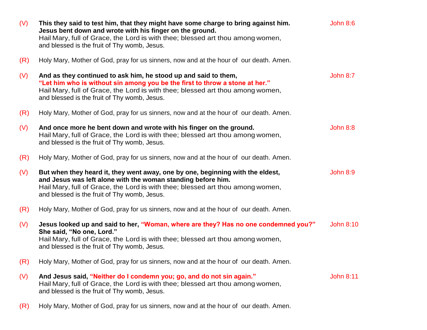| (V) | This they said to test him, that they might have some charge to bring against him.<br>Jesus bent down and wrote with his finger on the ground.<br>Hail Mary, full of Grace, the Lord is with thee; blessed art thou among women,<br>and blessed is the fruit of Thy womb, Jesus.  | <b>John 8:6</b>  |
|-----|-----------------------------------------------------------------------------------------------------------------------------------------------------------------------------------------------------------------------------------------------------------------------------------|------------------|
| (R) | Holy Mary, Mother of God, pray for us sinners, now and at the hour of our death. Amen.                                                                                                                                                                                            |                  |
| (V) | And as they continued to ask him, he stood up and said to them,<br>"Let him who is without sin among you be the first to throw a stone at her."<br>Hail Mary, full of Grace, the Lord is with thee; blessed art thou among women,<br>and blessed is the fruit of Thy womb, Jesus. | John 8:7         |
| (R) | Holy Mary, Mother of God, pray for us sinners, now and at the hour of our death. Amen.                                                                                                                                                                                            |                  |
| (V) | And once more he bent down and wrote with his finger on the ground.<br>Hail Mary, full of Grace, the Lord is with thee; blessed art thou among women,<br>and blessed is the fruit of Thy womb, Jesus.                                                                             | <b>John 8:8</b>  |
| (R) | Holy Mary, Mother of God, pray for us sinners, now and at the hour of our death. Amen.                                                                                                                                                                                            |                  |
| (V) | But when they heard it, they went away, one by one, beginning with the eldest,<br>and Jesus was left alone with the woman standing before him.<br>Hail Mary, full of Grace, the Lord is with thee; blessed art thou among women,<br>and blessed is the fruit of Thy womb, Jesus.  | <b>John 8:9</b>  |
| (R) | Holy Mary, Mother of God, pray for us sinners, now and at the hour of our death. Amen.                                                                                                                                                                                            |                  |
| (V) | Jesus looked up and said to her, "Woman, where are they? Has no one condemned you?"<br>She said, "No one, Lord."<br>Hail Mary, full of Grace, the Lord is with thee; blessed art thou among women,<br>and blessed is the fruit of Thy womb, Jesus.                                | <b>John 8:10</b> |
| (R) | Holy Mary, Mother of God, pray for us sinners, now and at the hour of our death. Amen.                                                                                                                                                                                            |                  |
| (V) | And Jesus said, "Neither do I condemn you; go, and do not sin again."<br>Hail Mary, full of Grace, the Lord is with thee; blessed art thou among women,<br>and blessed is the fruit of Thy womb, Jesus.                                                                           | <b>John 8:11</b> |
|     |                                                                                                                                                                                                                                                                                   |                  |

(R) Holy Mary, Mother of God, pray for us sinners, now and at the hour of our death. Amen.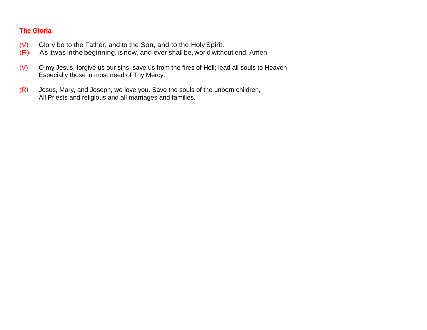- (V) Glory be to the Father, and to the Son, and to the HolySpirit.
- (R) As itwas inthe beginning, isnow, and ever shall be, world without end. Amen
- (V) O my Jesus, forgive us our sins; save us from the fires of Hell; lead all souls to Heaven Especially those in most need of Thy Mercy.
- (R) Jesus, Mary, and Joseph, we love you. Save the souls of the unborn children, All Priests and religious and all marriages and families.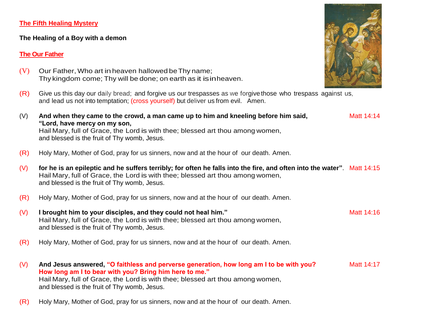#### **The Fifth Healing Mystery**

#### **The Healing of a Boy with a demon**

# **The Our Father**

- $(V)$  Our Father, Who art in heaven hallowed be Thy name; Thy kingdom come; Thy will be done; on earth as it isinheaven.
- (R) Give us this day our daily bread; and forgive us our trespasses as we forgive those who trespass against us, and lead us not into temptation; (cross yourself) but deliver us from evil. Amen.



(R) Holy Mary, Mother of God, pray for us sinners, now and at the hour of our death. Amen.

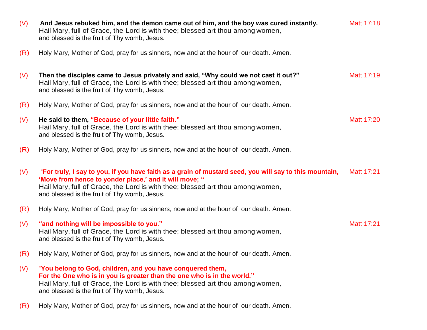| (V) | And Jesus rebuked him, and the demon came out of him, and the boy was cured instantly.<br>Hail Mary, full of Grace, the Lord is with thee; blessed art thou among women,<br>and blessed is the fruit of Thy womb, Jesus.                                                                           | Matt 17:18 |
|-----|----------------------------------------------------------------------------------------------------------------------------------------------------------------------------------------------------------------------------------------------------------------------------------------------------|------------|
| (R) | Holy Mary, Mother of God, pray for us sinners, now and at the hour of our death. Amen.                                                                                                                                                                                                             |            |
| (V) | Then the disciples came to Jesus privately and said, "Why could we not cast it out?"<br>Hail Mary, full of Grace, the Lord is with thee; blessed art thou among women,<br>and blessed is the fruit of Thy womb, Jesus.                                                                             | Matt 17:19 |
| (R) | Holy Mary, Mother of God, pray for us sinners, now and at the hour of our death. Amen.                                                                                                                                                                                                             |            |
| (V) | He said to them, "Because of your little faith."<br>Hail Mary, full of Grace, the Lord is with thee; blessed art thou among women,<br>and blessed is the fruit of Thy womb, Jesus.                                                                                                                 | Matt 17:20 |
| (R) | Holy Mary, Mother of God, pray for us sinners, now and at the hour of our death. Amen.                                                                                                                                                                                                             |            |
| (V) | "For truly, I say to you, if you have faith as a grain of mustard seed, you will say to this mountain,<br>'Move from hence to yonder place,' and it will move; "<br>Hail Mary, full of Grace, the Lord is with thee; blessed art thou among women,<br>and blessed is the fruit of Thy womb, Jesus. | Matt 17:21 |
| (R) | Holy Mary, Mother of God, pray for us sinners, now and at the hour of our death. Amen.                                                                                                                                                                                                             |            |
| (V) | "and nothing will be impossible to you."<br>Hail Mary, full of Grace, the Lord is with thee; blessed art thou among women,<br>and blessed is the fruit of Thy womb, Jesus.                                                                                                                         | Matt 17:21 |
| (R) | Holy Mary, Mother of God, pray for us sinners, now and at the hour of our death. Amen.                                                                                                                                                                                                             |            |
| (V) | "You belong to God, children, and you have conquered them,<br>For the One who is in you is greater than the one who is in the world."<br>Hail Mary, full of Grace, the Lord is with thee; blessed art thou among women,<br>and blessed is the fruit of Thy womb, Jesus.                            |            |
| (R) | Holy Mary, Mother of God, pray for us sinners, now and at the hour of our death. Amen.                                                                                                                                                                                                             |            |